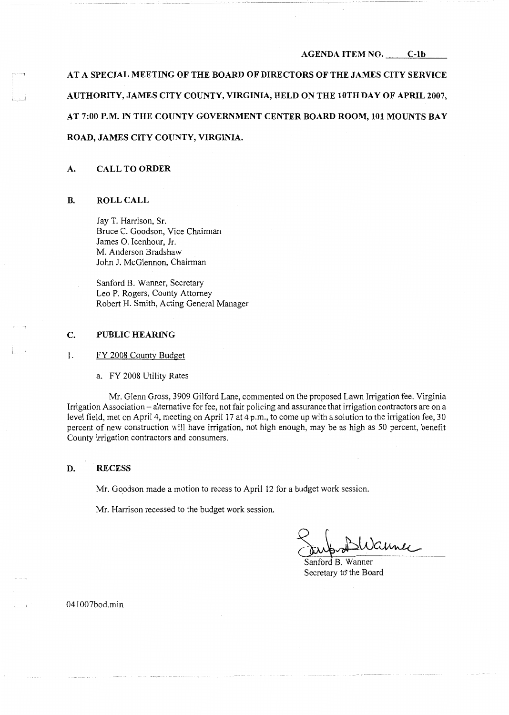#### **AGENDA ITEM NO. C-lb**

AT A SPECIAL MEETING OF THE BOARD OF DIRECTORS OF THE JAMES CITY SERVICE **AUTHORITY, JAMES CITY COUNTY, VIRGINIA, HELD ON THE lOTH DAY OF APRIL 2007, AT 7:00 P.M. IN THE COUNTY GOVERNMENT CENTER BOARD ROOM, 101 MOUNTS BAY ROAD, JAMES CITY COUNTY, VIRGINIA.** 

## **A. CALL TO ORDER**

## **B. ROLL CALL**

L .\_J

Jay T. Harrison, Sr. Bruce C. Goodson, Vice Chairman James 0. Icenhour, Jr. M. Anderson Bradshaw John J. McGlennon, Chairman

Sanford B. Wanner, Secretary Leo P. Rogers, County Attorney Robert H. Smith, Acting General Manager

# **C. PUBLIC HEARING**

**1.** FY 2008 County Budget

a. FY 2008 Utility Rates

Mr. Glenn Gross, 3909 Gilford Lane, commented on the proposed Lawn Irrigation fee. Virginia Irrigation Association - alternative for fee, not fair policing and assurance that irrigation contractors are on a level field, met on April 4, meeting on April 17 at 4 p.m., to come up with a solution to the irrigation fee, 30 percent of new construction w!ll have irrigation, not high enough, may be as high as 50 percent, benefit County irrigation contractors and consumers.

#### **D. RECESS**

Mr. Goodson made a motion to recess to April 12 for a budget work session.

Mr. Harrison recessed to the budget work session.

Jub BWanner

Secretary to the Board

041007bod.min